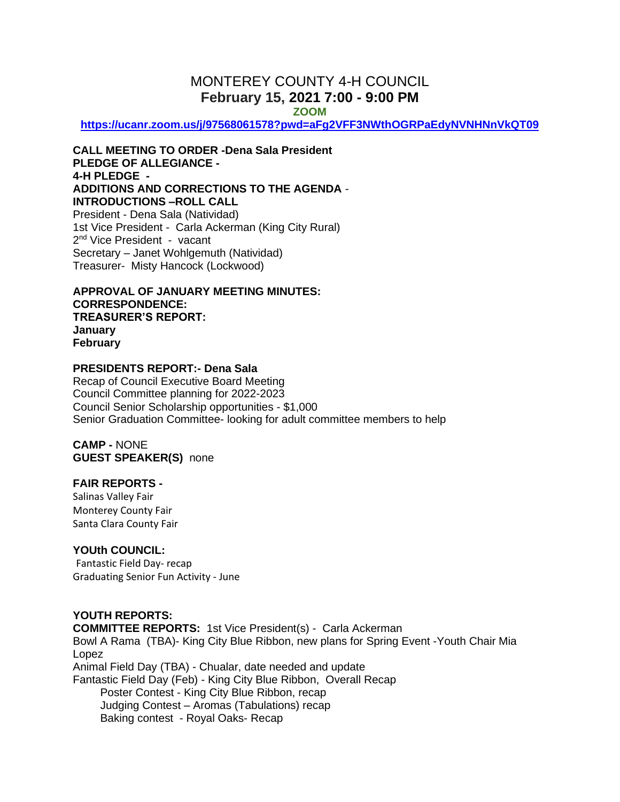# MONTEREY COUNTY 4-H COUNCIL **February 15, 2021 7:00 - 9:00 PM**

**ZOOM** 

**<https://ucanr.zoom.us/j/97568061578?pwd=aFg2VFF3NWthOGRPaEdyNVNHNnVkQT09>**

**CALL MEETING TO ORDER -Dena Sala President PLEDGE OF ALLEGIANCE - 4-H PLEDGE - ADDITIONS AND CORRECTIONS TO THE AGENDA** - **INTRODUCTIONS –ROLL CALL**  President - Dena Sala (Natividad) 1st Vice President - Carla Ackerman (King City Rural) 2<sup>nd</sup> Vice President - vacant Secretary – Janet Wohlgemuth (Natividad)

Treasurer- Misty Hancock (Lockwood)

**APPROVAL OF JANUARY MEETING MINUTES: CORRESPONDENCE: TREASURER'S REPORT: January February**

## **PRESIDENTS REPORT:- Dena Sala**

Recap of Council Executive Board Meeting Council Committee planning for 2022-2023 Council Senior Scholarship opportunities - \$1,000 Senior Graduation Committee- looking for adult committee members to help

**CAMP -** NONE **GUEST SPEAKER(S)** none

## **FAIR REPORTS -**

Salinas Valley Fair Monterey County Fair Santa Clara County Fair

## **YOUth COUNCIL:**

Fantastic Field Day- recap Graduating Senior Fun Activity - June

# **YOUTH REPORTS:**

**COMMITTEE REPORTS:** 1st Vice President(s) - Carla Ackerman Bowl A Rama (TBA)- King City Blue Ribbon, new plans for Spring Event -Youth Chair Mia Lopez Animal Field Day (TBA) - Chualar, date needed and update Fantastic Field Day (Feb) - King City Blue Ribbon, Overall Recap Poster Contest - King City Blue Ribbon, recap Judging Contest – Aromas (Tabulations) recap Baking contest - Royal Oaks- Recap